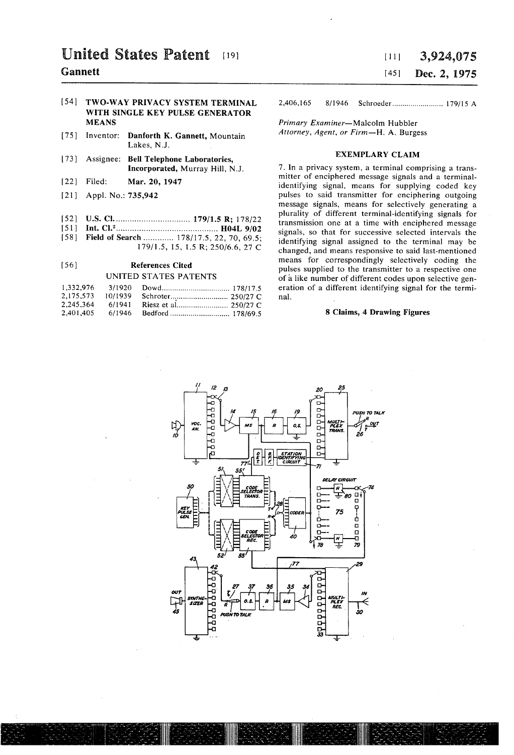# United States Patent  $[19]$  1111 3,924,075

# WITH SINGLE KEY PULSE GENERATOR<br>MEANS

- [75] Inventor: Danforth K. Gannett, Mountain Lakes, N.J.
- [73] Assignee: Bell Telephone Laboratories, EXEMPLARY CLAIM
- 
- 
- 
- 
- 179/15, 15, 1.5 R; 250/6.6, 27 C

|  |                                   | eration of a different identifying sig |
|--|-----------------------------------|----------------------------------------|
|  |                                   | nal.                                   |
|  |                                   |                                        |
|  | 2.401.405 6/1946 Bedford 178/69.5 | 8 Claims, 4 Drawing Fig.               |

# Gannett [45] Dec. 2, 1975

[541 TWO-WAY PRlVACY SYSTEM TERMINAL 2,406,165 8/1946 Schroeder ....................... .. 179/15 A

Primary Examiner-Malcolm Hubbler<br>Attorney, Agent, or Firm-H. A. Burgess

Incorporated, Murray Hill, N.J.  $\qquad \qquad$  7. In a privacy system, a terminal comprising a trans-[22] Filed: Mar. 20, 1947 mitter of enciphered message signals and a terminalidentifying signal, means for supplying coded key [21] Appl. No.: 735,942 **pulses to said transmitter for enciphering outgoing** message signals, means for selectively generating a plurality of different terminal-identifying signals for [52] [1.8. CLZ .............................. .. 179/15 R; 178/22 transmission one at a time with enciphered message [51] lilt- Ci. .......................................... .. "04L 9/02 Signals' SO that for successive Selected intervals the identifying signal assigned to the terminal may be changed, and means responsive to said last-mentioned means for correspondingly selectively coding the [56] References Cited pulses supplied to the transmitter to a respective one<br>UNITED STATES PATENTS of a like number of different codes upon selective genof a like number of different codes upon selective generation of a different identifying signal for the terminal.

## 2,401,405 6/l946 Bedford ........................... .. 178/695 8 Claims, 4 Drawing Figures

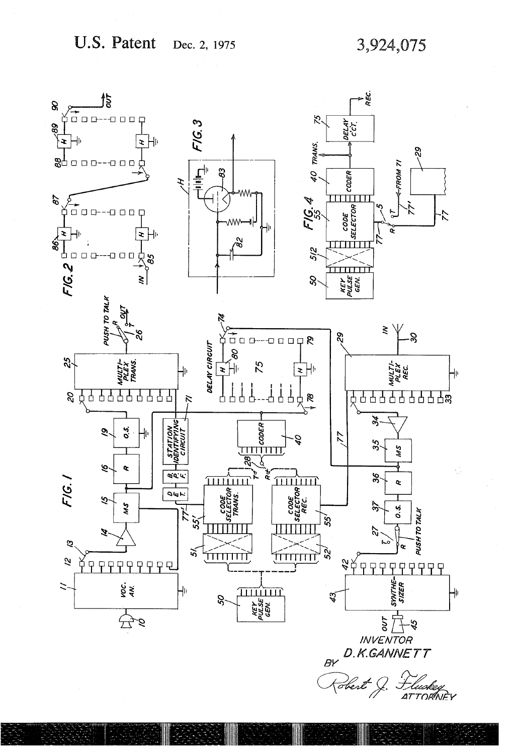### U.S. Patent Dec. 2, 1975

3,924,075

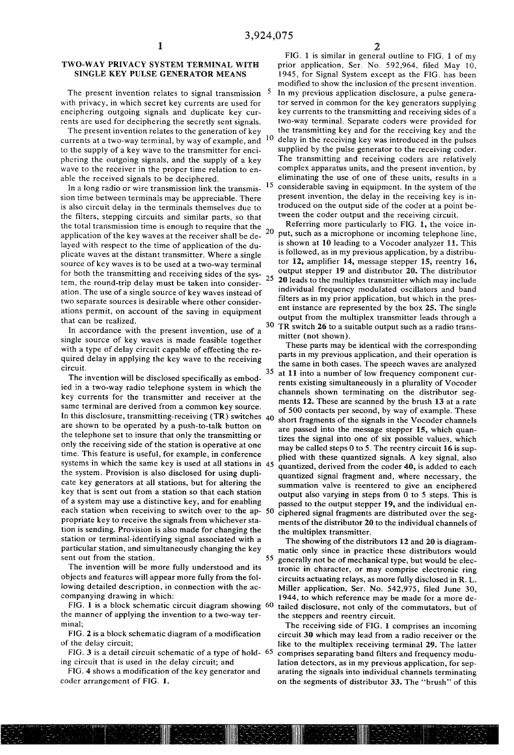### TWO-WAY PRIVACY SYSTEM TERMINAL WITH SINGLE KEY PULSE GENERATOR MEANS

The present invention relates to signal transmission <sup>5</sup> with privacy, in which secret key currents are used for enciphering outgoing signals and duplicate key cur rents are used for deciphering the secretly sent signals.

The present invention relates to the generation of key currents at a two-way terminal, by way of example, and  $10$ to the supply of a key wave to the transmitter for enci phering the outgoing signals, and the supply of a key wave to the receiver in the proper time relation to en able the received signals to be deciphered.

In a long radio or wire transmission link the transmis sion time between terminals may be appreciable. There is also circuit delay in the terminals themselves due to the filters, stepping circuits and similar parts, so that the total transmission time is enough to require that the application of the key waves at the receiver shall be de layed with respect to the time of application of the du plicate waves at the distant transmitter. Where a single , source of key waves is to be used at a two-way terminal for both the transmitting and receiving sides of the sys- $_{25}$ tem, the round-trip delay must be taken into consider ation. The use of a single source of key waves instead of two separate sources is desirable where other consider ations permit, on account of the saving in equipment that can be realized.

In accordance with the present invention, use of a single source of key waves is made feasible together with a type of delay circuit capable of effecting the re quired delay in applying the key wave to the receiving circuit.

The invention will be disclosed specifically as embod ied in a two-way radio telephone system in which the key currents for the transmitter and receiver at the same terminal are derived from a common key source.<br>In this disclosure, transmitting-receiving  $(TR)$  switches  $_{40}$ are shown to be operated by a push-to-talk button on the telephone set to insure that only the transmitting or only the receiving side of the station is operative at one time. This feature is useful, for example, in conference systems in which the same key is used at all stations in 45 the system. Provision is also disclosed for using dupli cate key generators at all stations, but for altering the key that is sent out from a station so that each station of a system may use a distinctive key, and for enabling each station when receiving to switch over to the ap- 50 propriate key to receive the signals from whichever sta tion is sending. Provision is also made for changing the station or terminal-identifying signal associated with a particular station, and simultaneously changing the key sent out from the station.

The invention will be more fully understood and its objects and features will appear more fully from the fol lowing detailed description, in connection with the ac companying drawing in which:

FIG. 1 is a block schematic circuit diagram showing 60 the manner of applying the invention to a two-way ter minal;

FIG. 2 is a block schematic diagram of a modification of the delay circuit;

FIG. 3 is a detail circuit schematic of a type of hold- <sup>65</sup> ing circuit that is used in the delay circuit; and

FIG. 4 shows a modification of the key generator and coder arrangement of FIG. I.

15 FIG. I is similar in general outline to FIG. I of my prior application, Ser. No. 592,964, filed May I0, 1945, for Signal System except as the FIG. has been modified to show the inclusion of the present invention. In my previous application disclosure, a pulse genera tor served in common for the key generators supplying key currents to the transmitting and receiving sides of a two-way terminal. Separate coders were provided for the transmitting key and for the receiving key and the delay in the receiving key was introduced in the pulses supplied by the pulse generator to the receiving coder. The transmitting and receiving coders are relatively complex apparatus units, and the present invention, by eliminating the use of one of these units, results in a considerable saving in equipment. In the system of the present invention, the delay in the receiving key is in troduced on the output side of the coder at a point be tween the coder output and the receiving circuit.

Referring more particularly to FIG. 1, the voice in 20 put, such as a microphone or incoming telephone line, is shown at 10 leading to a Vocoder analyzer 11. This is followed, as in my previous application, by a distribu tor 12, amplifier 14, message stepper 15, reentry 16, output stepper 19 and distributor 20. The distributor 20 leads to the multiplex transmitter which may include individual frequency modulated oscillators and band filters as in my prior application, but which in the pres ent instance are represented by the box 25. The single output from the multiplex transmitter leads through a  $30$  TR switch 26 to a suitable output such as a radio transmitter (not shown).

35 These parts may be identical with the corresponding parts in my previous application, and their operation is the same in both cases. The speech waves are analyzed at 11 into a number of low frequency component cur rents existing simultaneously in a plurality of Vocoder channels shown terminating on the distributor seg ments 12. These are scanned by the brush 13 at a rate of 500 contacts per second, by way of example. These short fragments of the signals in the Vocoder channels are passed into the message stepper 15, which quantizes the signal into one of six possible values, which may be called steps 0 to 5. The reentry circuit 16 is sup plied with these quantized signals. A key signal, also quantized, derived from the coder 40, is added to each quantized signal fragment and, where necessary, the summation valve is reentered to give an enciphered output also varying in steps from 0 to 5 steps. This is passed to the output stepper l9, and the individual en ciphered signal fragments are distributed over the seg ments of the distributor 20 to the individual channels of the multiplex transmitter.

55 The showing of the distributors 12 and 20 is diagram~ matic only since in practice these distributors would generally not be of mechanical type, but would be elec tronic in character, or may comprise electronic ring circuits actuating relays, as more fully disclosed in R. L. Miller application, Ser. No. 542,975, filed June 30, 1944, to which reference may be made for a more de~ tailed disclosure, not only of the commutators, but of the steppers and reentry circuit.

The receiving side of FIG. I comprises an incoming circuit 30 which may lead from a radio receiver or the like to the multiplex receiving terminal 29. The latter comprises separating band filters and frequency modu lation detectors, as in my previous application, for separating the signals into individual channels terminating on the segments of distributor 33. The "brush" of this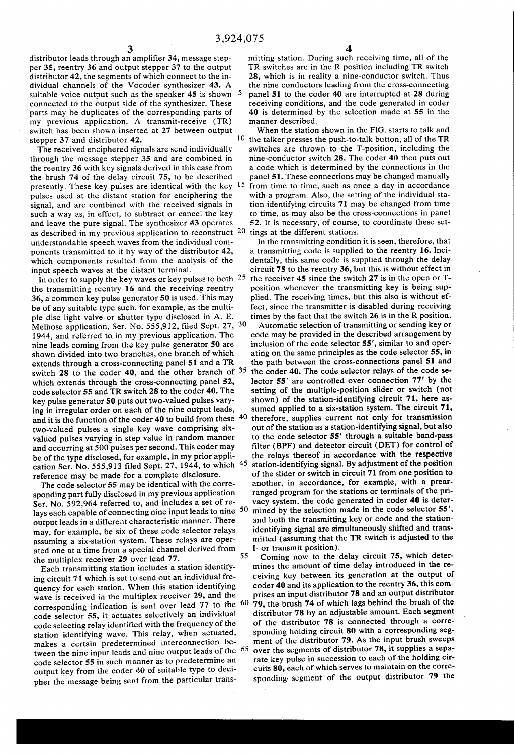distributor leads through an amplifier 34, message step per 35, reentry 36 and output stepper 37 to the output distributor 42, the segments of which connect to the in dividual channels of the Vocoder synthesizer 43. A suitable voice output such as the speaker  $45$  is shown  $5$ connected to the output side of the synthesizer. These parts may be duplicates of the corresponding parts of my previous application. A transmit-receive (TR) switch has been shown inserted at 27 between output stepper 37 and distributor 42. 10

The received enciphered signals are send individually through the message stepper 35 and are combined in the reentry 36 with key signals derived in this case from the brush 74 of the delay circuit 75, to be described presently. These key pulses are identical with the key pulses used at the distant station for enciphering the signal, and are combined with the received signals in such a way as, in effect, to subtract or cancel the key and leave the pure signal. The synthesizer 43 operates as described in my previous application to reconstruct  $20$  tings at the different stations. understandable speech waves from the individual com ponents transmitted to it by way of the distributor 42, which components resulted from the analysis of the input speech waves at the distant terminal.

In order to supply the key waves or key pulses to both  $25$ the transmitting reentry 16 and the receiving reentry 36, a common key pulse generator 50 is used. This may be of any suitable type such, for example, as the multi ple disc light valve- or shutter type disclosed in A. E. Melhose application, Ser. No. 555,912, filed Sept. 27, <sup>30</sup> l944, and referred to, in my previous application. The nine leads coming from the key pulse generator 50 are shown divided into two branches, one branch of which extends through a cross-connecting panel 51 and a TR switch 28 to the coder 40, and the other branch of  $35$ which extends through the cross-connecting panel 52, code selector 55 and TR switch 28 to the coder 40. The key pulse generator 50 puts out two-valued pulses vary ing in irregular order on each of the nine output leads, and it is the function of the coder 40 to build from these  $\,^{40}$ two-valued pulses a single key wave comprising six valued pulses varying in step value in random manner and occurring at 500 pulses per second. This coder may be of the type disclosed, for example, in my prior appli cation Ser. No. 555,913 filed Sept. 27, 1944, to which  $45$ reference may be made for a complete disclosure.

The code selector 55 may be identical with the corre sponding part fully disclosed in my previous application Ser. No. 592,964 referred to, and includes a set of re lays each capable of connecting nine input leads to nine 50 output leads in a different characteristic manner. There may, for example, be six of these code selector relays assuming a six-station system. These relays are oper ated one at a time from a special channel derived from the multiplex receiver 29 over lead 77.

Each transmitting station includes a station identify ing circuit 71 which is set to send out an individual fre quency for each station. When this station identifying wave is received in the multiplex receiver 29, and the corresponding indication is sent over lead  $77$  to the  $60$ code selector 55, it actuates selectively an individual code selecting relay identified with the frequency of the station identifying wave. This relay, when actuated, makes a certain predetermined interconnection be tween the nine input leads and nine output leads of the  $65$ code selector 55 in such manner as to predetermine an output key from the coder 40 of suitable type to deci pher the message being sent from the particular trans

mitting station. During such receiving time, all of the TR switches are in the R position including TR switch 28, which is in reality a nine-conductor switch. Thus the nine conductors leading from the cross-connecting panel 51 to the coder 40 are interrupted at 28 during receiving conditions, and the code generated in coder 40 is determined by the selection made at 55 in the manner described.

When the station shown in the FIG. starts to talk and the talker presses the push-to-talk button, all of the TR switches are thrown to the T-position, including the nine-conductor switch 28. The coder 40 then puts out a code which is determined by the connections in the panel 51. These connections may be changed manually from time to time, such as once a day in accordance with a program. Also, the setting of the individual sta tion identifying circuits 71 may be changed from time to time, as may also be the cross-connections in panel 52. It is necessary, of course, to coordinate these set

In the transmitting condition it is seen, therefore, that a transmitting code is supplied to the reentry 16. Inci dentally, this same code is supplied through the delay circuit 75 to the reentry 36, but this is without effect in the receiver 45 since the switch 27 is in the open or T position whenever the transmitting key is being sup plied. The receiving times, but this also is without ef fect, since the transmitter is disabled during receiving times by the fact that the switch 26 is in the R position.

Automatic selection of transmitting or sending key or code may be provided in the described arrangement by inclusion of the code selector 55', similar to and oper ating on the same principles as the code selector 55, in the path between the cross-connections panel 51 and the coder 40. The code selector relays of the code se lector 55' are controlled over connection 77' by the setting of the multiple-position slider or switch (not shown) of the station-identifying circuit 71, here as sumed applied to a six-station system. The circuit 71, therefore, supplies current not only for transmission out of the station as a station-identifying signal, but also to the code selector 55' through a suitable band-pass filter (BPF) and detector circuit (DET) for control of the relays thereof in accordance with the respective station-identifying signal. By adjustment of the position of the slider or switch in circuit 71 from one position to another, in accordance, for example, with a prear ranged program for the stations or terminals of the pri vacy system, the code generated in coder 40 is deter mined by the selection made in the code selector 55', and both the transmitting key or code and the station identifying signal are simultaneously shifted and trans mitted (assuming that the TR switch is adjusted to the l- or transmit position).

55 Coming now to the delay circuit 75, which deter mines the amount of time delay introduced in the re ceiving key between its generation at the output of coder 40 and its application to the reentry 36, this com prises an input distributor 78 and an output distributor 79, the brush 74 of which lags behind the brush of the distributor 78 by an adjustable amount. Each segment of the distributor 78 is connected through a corre sponding holding circuit 80 with a corresponding seg ment of the distributor 79. As the input brush sweeps over the segments of distributor 78, it supplies a sepa rate key pulse in succession to each of the holding cir cuits 80, each of which serves to maintain on the corre sponding- segment of the output distributor 79 the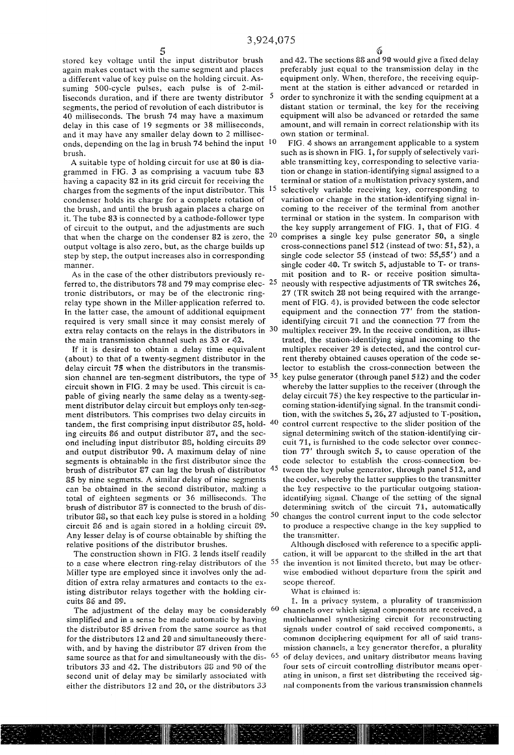stored key voltage until the input distributor brush again makes contact with the same segment and places a different value of key pulse on the holding circuit. As suming 500-cycle pulses, each pulse is of 2-milliseconds duration, and if there are twenty distributor  $5$ segments, the period of revolution of each distributor is 40 milliseconds. The brush 74 may have a maximum delay in this case of 19 segments or 38 milliseconds, and it may have any smaller delay down to 2 millisec onds, depending on the lag in brush 74 behind the input 10 brush.

A suitable type of holding circuit for use at 80 is dia grammed in FIG. 3 as comprising a vacuum tube 83 having a capacity 82 in its grid circuit for receiving the charges from the segments of the input distributor. This condenser holds its charge for a complete rotation of the brush, and until the brush again places a charge on it. The tube 83 is connected by a cathode-follower type of circuit to the output, and the adjustments are such that when the charge on the condenser 82 is zero, the <sup>20</sup> output voltage is also zero, but, as the charge builds up step by step, the output increases also in corresponding manner.

As in the case of the other distributors previously re ferred to, the distributors 78 and 79 may comprise elec-  $25$ tronic distributors, or may be of the electronic ring relay type shown in the Miller- application referred to. In the latter case, the amount of additional equipment required is very small since it may consist merely of extra relay contacts on the relays in the distributors in 30 the main transmission channel such as 33 or 42.

If it is desired to obtain a delay time equivalent (about) to that of a twenty-segment distributor in the delay circuit 75 when the distributors in the transmis sion channel are ten-segment distributors, the type of <sup>35</sup> circuit shown in FIG. 2 may be used. This circuit is ca pable of giving nearly the same delay as a twenty-seg ment distributor delay circuit but employs only ten-seg ment distributors. This comprises two delay circuits in tandem, the first comprising input distributor  $35$ , hold- $40$ ing circuits 86 and output distributor 87, and the sec ond including input distributor 88, holding circuits 89 and output distributor 90. A maximum delay of nine segments is obtainable in the first distributor since the brush of distributor 87 can lag the brush of distributor 45 85 by nine segments. A similar delay of nine segments can be obtained in the second distributor, making a total of eighteen segments or 36 milliseconds. The brush of distributor 87 is connected to the brush of dis circuit 86 and is again stored in a holding circuit 89. Any lesser delay is of course obtainable by shifting the relative positions of the distributor brushes.

The construction shown in FIG. 2 lends itself readily Miller type are employed since it involves only the ad dition of extra relay armatures and contacts to the ex isting distributor relays together with the holding cir cuits 86 and 89.

simplified and in a sense be made automatic by having the distributor 85 driven from the same source as that for the distributors 12 and 20 and simultaneously therewith, and by having the distributor 87 driven from the same source as that for and simultaneously with the dis- $65<sup>65</sup>$ tributors 33 and 42. The distributors 88 and 90 of the second unit of delay may be similarly associated with either the distributors  $12$  and  $20$ , or the distributors  $33$ 

6

and 42. The sections 8% and 90 would give a fixed delay preferably just equal to the transmission delay in the equipment only. When, therefore, the receiving equip ment at the station is either advanced or retarded in order to synchronize it with the sending equipment at a distant station or terminal, the key for the receiving equipment will also be advanced or retarded the same amount, and will remain in correct relationship with its own station or terminal.

tributor 88, so that each key pulse is stored in a holding <sup>50</sup> changes the control current input to the code selector FIG. 4 shows an arrangement applicable to a system such as is shown in FIG. 1, for supply of selectively variable transmitting key, corresponding to selective varia tion or change in station-identifying signal assigned to a terminal or station of a multistation privacy system, and selectively variable receiving key, corresponding to variation or change in the station-identifying signal in coming to the receiver of the terminal from another terminal or station in the system. In comparison with the key supply arrangement of FIG. I, that of FIG. 4 comprises a single key pulse generator 50, a single cross-connections panel 512 (instead of two: 51, 52), a single code selector 55 (instead of two: 55,55') and a single coder 40. Tr switch 5, adjustable to T- or trans mit position and to R- or receive position simulta neously with respective adjustments of TR switches 26, 27 (TR switch 28 not being required with the arrangement of FIG. 4), is provided between the code selector equipment and the connection 77' from the stationidentifying circuit 71 and the connection 77 from the multiplex receiver 29. In the receive condition, as illus trated, the station-identifying signal incoming to the multiplex receiver 29 is detected, and the control cur rent thereby obtained causes operation of the code se lector to establish the cross-connection between the , key pulse generator (through panel 5H2) and the coder whereby the latter supplies to the receiver (through the delay circuit '75) the key respective to the particular in coming station-identifying signal. In the transmit condi tion, with the Switches S, 26, 27 adjusted to T~position, control current respective to the slider position of the signal determining switch of the station-identifying circuit 71, is furnished to the code selector over connection '77' through switch 5, to cause operation of the code selector to establish the cross-connection be tween the key pulse generator, through panel 512, and the coder. whereby the latter supplies to the transmitter the key respective to the particular outgoing station identifying signal. Change of the setting of the signal determining switch of the circuit 71, automatically to produce a respective change in the key supplied to the transmitter.

to a case where electron ring-relay distributors of the <sup>55</sup> the invention is not limited thereto, but may be other-Although disclosed with reference to a specific appli cation, it will be apparent to the skilled in the art that wise embodied without departure from the spirit and scope thereof.

What is claimed is:

The adjustment of the delay may be considerably  $60$  channels over which signal components are received, a l. in a privacy system, a plurality of transmission multichannel synthesizing circuit for reconstructing signals under control of said received components, a common deciphering equipment for all of said trans mission channels, a key generator therefor, a plurality of delay devices, and unitary distributor means having four sets of circuit controlling distributor means operating in unison, a first set distributing the received sig nal components from the various transmission channels